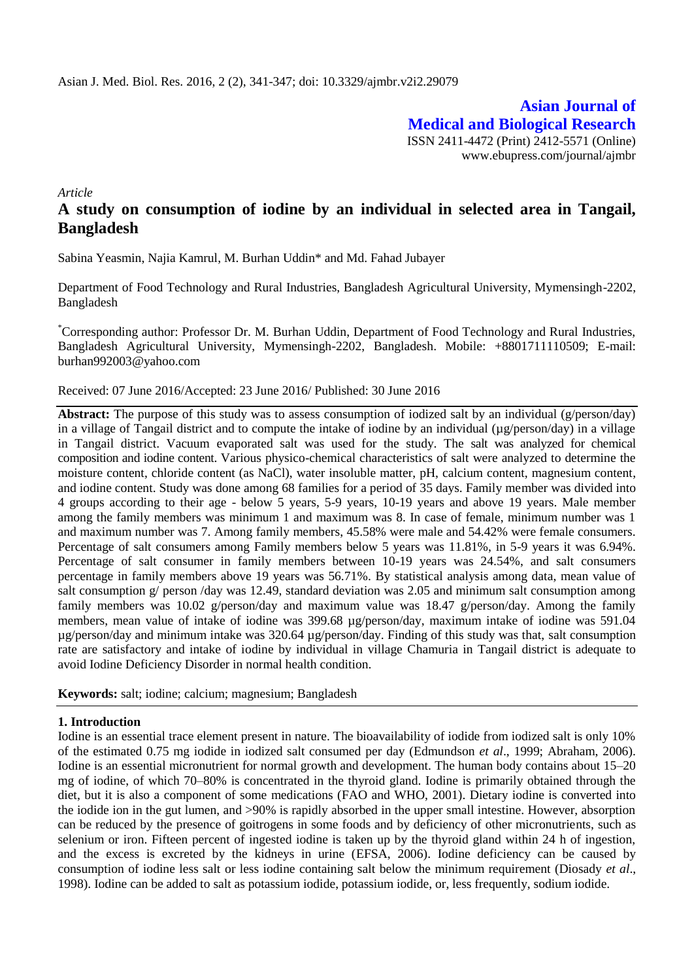**Asian Journal of Medical and Biological Research** ISSN 2411-4472 (Print) 2412-5571 (Online) www.ebupress.com/journal/ajmbr

*Article*

# **A study on consumption of iodine by an individual in selected area in Tangail, Bangladesh**

Sabina Yeasmin, Najia Kamrul, M. Burhan Uddin\* and Md. Fahad Jubayer

Department of Food Technology and Rural Industries, Bangladesh Agricultural University, Mymensingh-2202, Bangladesh

\*Corresponding author: Professor Dr. M. Burhan Uddin, Department of Food Technology and Rural Industries, Bangladesh Agricultural University, Mymensingh-2202, Bangladesh. Mobile: +8801711110509; E-mail: [burhan992003@yahoo.com](mailto:burhan992003@yahoo.com)

#### Received: 07 June 2016/Accepted: 23 June 2016/ Published: 30 June 2016

**Abstract:** The purpose of this study was to assess consumption of iodized salt by an individual (g/person/day) in a village of Tangail district and to compute the intake of iodine by an individual (µg/person/day) in a village in Tangail district. Vacuum evaporated salt was used for the study. The salt was analyzed for chemical composition and iodine content. Various physico-chemical characteristics of salt were analyzed to determine the moisture content, chloride content (as NaCl), water insoluble matter, pH, calcium content, magnesium content, and iodine content. Study was done among 68 families for a period of 35 days. Family member was divided into 4 groups according to their age - below 5 years, 5-9 years, 10-19 years and above 19 years. Male member among the family members was minimum 1 and maximum was 8. In case of female, minimum number was 1 and maximum number was 7. Among family members, 45.58% were male and 54.42% were female consumers. Percentage of salt consumers among Family members below 5 years was 11.81%, in 5-9 years it was 6.94%. Percentage of salt consumer in family members between 10-19 years was 24.54%, and salt consumers percentage in family members above 19 years was 56.71%. By statistical analysis among data, mean value of salt consumption g/ person /day was 12.49, standard deviation was 2.05 and minimum salt consumption among family members was 10.02 g/person/day and maximum value was 18.47 g/person/day. Among the family members, mean value of intake of iodine was 399.68  $\mu$ g/person/day, maximum intake of iodine was 591.04 µg/person/day and minimum intake was 320.64 µg/person/day. Finding of this study was that, salt consumption rate are satisfactory and intake of iodine by individual in village Chamuria in Tangail district is adequate to avoid Iodine Deficiency Disorder in normal health condition.

**Keywords:** salt; iodine; calcium; magnesium; Bangladesh

#### **1. Introduction**

Iodine is an essential trace element present in nature. The bioavailability of iodide from iodized salt is only 10% of the estimated 0.75 mg iodide in iodized salt consumed per day (Edmundson *et al*., 1999; Abraham, 2006). Iodine is an essential micronutrient for normal growth and development. The human body contains about 15–20 mg of iodine, of which 70–80% is concentrated in the thyroid gland. Iodine is primarily obtained through the diet, but it is also a component of some medications (FAO and WHO, 2001). Dietary iodine is converted into the iodide ion in the gut lumen, and >90% is rapidly absorbed in the upper small intestine. However, absorption can be reduced by the presence of goitrogens in some foods and by deficiency of other micronutrients, such as selenium or iron. Fifteen percent of ingested iodine is taken up by the thyroid gland within 24 h of ingestion, and the excess is excreted by the kidneys in urine (EFSA, 2006). Iodine deficiency can be caused by consumption of iodine less salt or less iodine containing salt below the minimum requirement (Diosady *et al*., 1998). Iodine can be added to salt as potassium iodide, potassium iodide, or, less frequently, sodium iodide.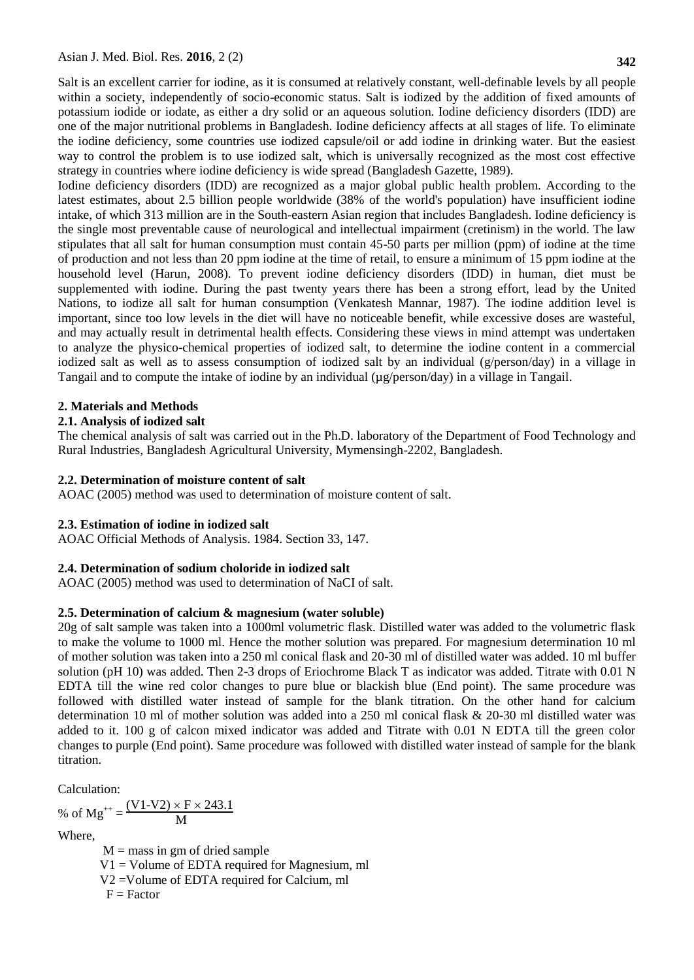Salt is an excellent carrier for iodine, as it is consumed at relatively constant, well-definable levels by all people within a society, independently of socio-economic status. Salt is iodized by the addition of fixed amounts of potassium iodide or iodate, as either a dry solid or an aqueous solution. Iodine deficiency disorders (IDD) are one of the major nutritional problems in Bangladesh. Iodine deficiency affects at all stages of life. To eliminate the iodine deficiency, some countries use iodized capsule/oil or add iodine in drinking water. But the easiest way to control the problem is to use iodized salt, which is universally recognized as the most cost effective strategy in countries where iodine deficiency is wide spread (Bangladesh Gazette, 1989).

Iodine deficiency disorders (IDD) are recognized as a major global public health problem. According to the latest estimates, about 2.5 billion people worldwide (38% of the world's population) have insufficient iodine intake, of which 313 million are in the South-eastern Asian region that includes Bangladesh. Iodine deficiency is the single most preventable cause of neurological and intellectual impairment (cretinism) in the world. The law stipulates that all salt for human consumption must contain 45-50 parts per million (ppm) of iodine at the time of production and not less than 20 ppm iodine at the time of retail, to ensure a minimum of 15 ppm iodine at the household level (Harun*,* 2008). To prevent iodine deficiency disorders (IDD) in human, diet must be supplemented with iodine. During the past twenty years there has been a strong effort, lead by the United Nations, to iodize all salt for human consumption (Venkatesh Mannar, 1987). The iodine addition level is important, since too low levels in the diet will have no noticeable benefit, while excessive doses are wasteful, and may actually result in detrimental health effects. Considering these views in mind attempt was undertaken to analyze the physico-chemical properties of iodized salt, to determine the iodine content in a commercial iodized salt as well as to assess consumption of iodized salt by an individual (g/person/day) in a village in Tangail and to compute the intake of iodine by an individual (µg/person/day) in a village in Tangail.

### **2. Materials and Methods**

### **2.1. Analysis of iodized salt**

The chemical analysis of salt was carried out in the Ph.D. laboratory of the Department of Food Technology and Rural Industries, Bangladesh Agricultural University, Mymensingh-2202, Bangladesh.

#### **2.2. Determination of moisture content of salt**

AOAC (2005) method was used to determination of moisture content of salt.

## **2.3. Estimation of iodine in iodized salt**

AOAC Official Methods of Analysis. 1984. Section 33, 147.

#### **2.4. Determination of sodium choloride in iodized salt**

AOAC (2005) method was used to determination of NaCI of salt.

## **2.5. Determination of calcium & magnesium (water soluble)**

20g of salt sample was taken into a 1000ml volumetric flask. Distilled water was added to the volumetric flask to make the volume to 1000 ml. Hence the mother solution was prepared. For magnesium determination 10 ml of mother solution was taken into a 250 ml conical flask and 20-30 ml of distilled water was added. 10 ml buffer solution (pH 10) was added. Then 2-3 drops of Eriochrome Black T as indicator was added. Titrate with 0.01 N EDTA till the wine red color changes to pure blue or blackish blue (End point). The same procedure was followed with distilled water instead of sample for the blank titration. On the other hand for calcium determination 10 ml of mother solution was added into a 250 ml conical flask & 20-30 ml distilled water was added to it. 100 g of calcon mixed indicator was added and Titrate with 0.01 N EDTA till the green color changes to purple (End point). Same procedure was followed with distilled water instead of sample for the blank titration.

Calculation:

% of  $Mg^{++} = \frac{(V1-V2) \times F \times 243.1}{M}$ M

Where,

 $M =$  mass in gm of dried sample  $V1 =$  Volume of EDTA required for Magnesium, ml V2 =Volume of EDTA required for Calcium, ml  $F = Factor$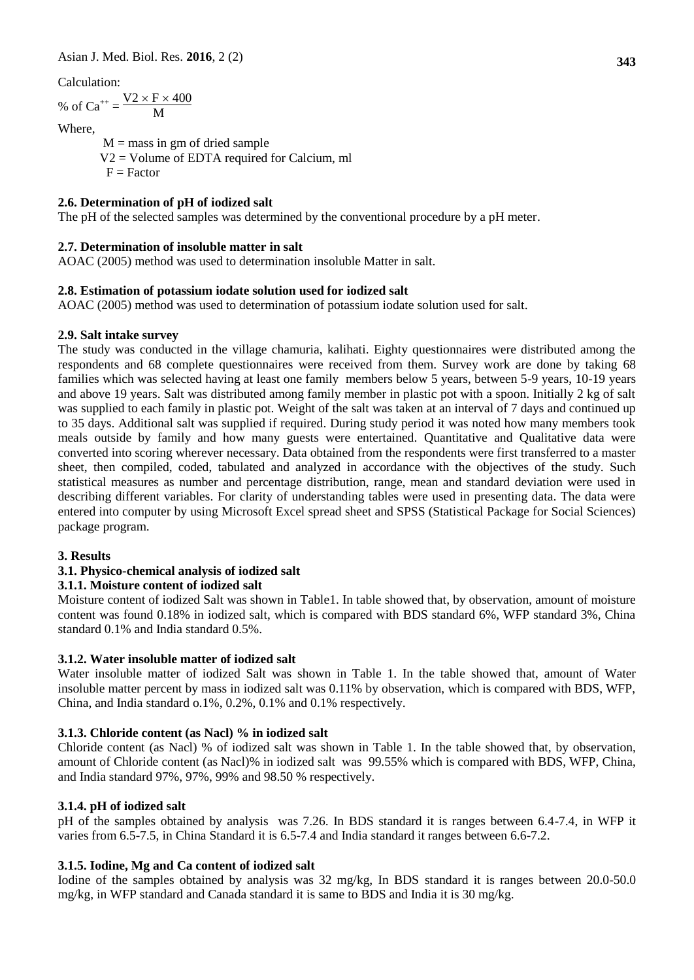Calculation:

% of  $Ca^{++} = \frac{V2 \times F \times 400}{M}$ M

Where,

 $M =$  mass in gm of dried sample V2 = Volume of EDTA required for Calcium, ml  $F = Factor$ 

## **2.6. Determination of pH of iodized salt**

The pH of the selected samples was determined by the conventional procedure by a pH meter.

## **2.7. Determination of insoluble matter in salt**

AOAC (2005) method was used to determination insoluble Matter in salt.

## **2.8. Estimation of potassium iodate solution used for iodized salt**

AOAC (2005) method was used to determination of potassium iodate solution used for salt.

## **2.9. Salt intake survey**

The study was conducted in the village chamuria, kalihati. Eighty questionnaires were distributed among the respondents and 68 complete questionnaires were received from them. Survey work are done by taking 68 families which was selected having at least one family members below 5 years, between 5-9 years, 10-19 years and above 19 years. Salt was distributed among family member in plastic pot with a spoon. Initially 2 kg of salt was supplied to each family in plastic pot. Weight of the salt was taken at an interval of 7 days and continued up to 35 days. Additional salt was supplied if required. During study period it was noted how many members took meals outside by family and how many guests were entertained. Quantitative and Qualitative data were converted into scoring wherever necessary. Data obtained from the respondents were first transferred to a master sheet, then compiled, coded, tabulated and analyzed in accordance with the objectives of the study. Such statistical measures as number and percentage distribution, range, mean and standard deviation were used in describing different variables. For clarity of understanding tables were used in presenting data. The data were entered into computer by using Microsoft Excel spread sheet and SPSS (Statistical Package for Social Sciences) package program.

#### **3. Results**

## **3.1. Physico-chemical analysis of iodized salt**

## **3.1.1. Moisture content of iodized salt**

Moisture content of iodized Salt was shown in Table1. In table showed that, by observation, amount of moisture content was found 0.18% in iodized salt, which is compared with BDS standard 6%, WFP standard 3%, China standard 0.1% and India standard 0.5%.

## **3.1.2. Water insoluble matter of iodized salt**

Water insoluble matter of iodized Salt was shown in Table 1. In the table showed that, amount of Water insoluble matter percent by mass in iodized salt was 0.11% by observation, which is compared with BDS, WFP, China, and India standard o.1%, 0.2%, 0.1% and 0.1% respectively.

## **3.1.3. Chloride content (as Nacl) % in iodized salt**

Chloride content (as Nacl) % of iodized salt was shown in Table 1. In the table showed that, by observation, amount of Chloride content (as Nacl)% in iodized salt was 99.55% which is compared with BDS, WFP, China, and India standard 97%, 97%, 99% and 98.50 % respectively.

## **3.1.4. pH of iodized salt**

pH of the samples obtained by analysis was 7.26. In BDS standard it is ranges between 6.4-7.4, in WFP it varies from 6.5-7.5, in China Standard it is 6.5-7.4 and India standard it ranges between 6.6-7.2.

## **3.1.5. Iodine, Mg and Ca content of iodized salt**

Iodine of the samples obtained by analysis was 32 mg/kg, In BDS standard it is ranges between 20.0-50.0 mg/kg, in WFP standard and Canada standard it is same to BDS and India it is 30 mg/kg.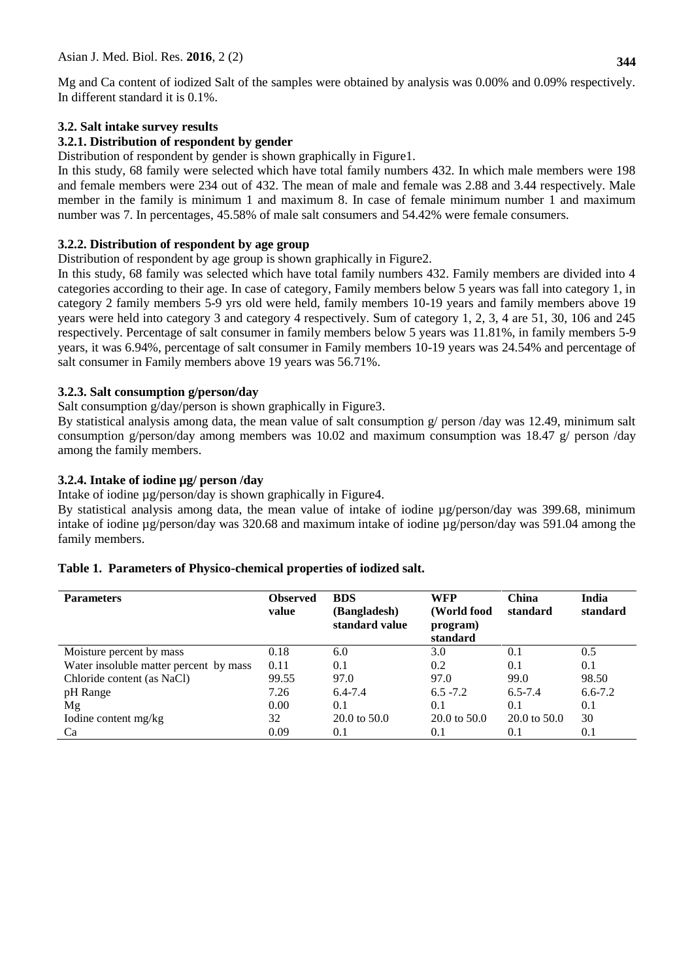Mg and Ca content of iodized Salt of the samples were obtained by analysis was 0.00% and 0.09% respectively. In different standard it is 0.1%.

### **3.2. Salt intake survey results**

### **3.2.1. Distribution of respondent by gender**

Distribution of respondent by gender is shown graphically in Figure1.

In this study, 68 family were selected which have total family numbers 432. In which male members were 198 and female members were 234 out of 432. The mean of male and female was 2.88 and 3.44 respectively. Male member in the family is minimum 1 and maximum 8. In case of female minimum number 1 and maximum number was 7. In percentages, 45.58% of male salt consumers and 54.42% were female consumers.

### **3.2.2. Distribution of respondent by age group**

Distribution of respondent by age group is shown graphically in Figure2.

In this study, 68 family was selected which have total family numbers 432. Family members are divided into 4 categories according to their age. In case of category, Family members below 5 years was fall into category 1, in category 2 family members 5-9 yrs old were held, family members 10-19 years and family members above 19 years were held into category 3 and category 4 respectively. Sum of category 1, 2, 3, 4 are 51, 30, 106 and 245 respectively. Percentage of salt consumer in family members below 5 years was 11.81%, in family members 5-9 years, it was 6.94%, percentage of salt consumer in Family members 10-19 years was 24.54% and percentage of salt consumer in Family members above 19 years was 56.71%.

### **3.2.3. Salt consumption g/person/day**

Salt consumption g/day/person is shown graphically in Figure 3.

By statistical analysis among data, the mean value of salt consumption g/ person /day was 12.49, minimum salt consumption g/person/day among members was 10.02 and maximum consumption was 18.47 g/ person /day among the family members.

### **3.2.4. Intake of iodine µg/ person /day**

Intake of iodine µg/person/day is shown graphically in Figure4.

By statistical analysis among data, the mean value of intake of iodine  $\mu$ g/person/day was 399.68, minimum intake of iodine µg/person/day was 320.68 and maximum intake of iodine µg/person/day was 591.04 among the family members.

| <b>Parameters</b>                      | <b>Observed</b><br>value | <b>BDS</b><br>(Bangladesh)<br>standard value | <b>WFP</b><br>(World food<br>program)<br>standard | <b>China</b><br>standard | India<br>standard |
|----------------------------------------|--------------------------|----------------------------------------------|---------------------------------------------------|--------------------------|-------------------|
| Moisture percent by mass               | 0.18                     | 6.0                                          | 3.0                                               | 0.1                      | 0.5               |
| Water insoluble matter percent by mass | 0.11                     | 0.1                                          | 0.2                                               | 0.1                      | 0.1               |
| Chloride content (as NaCl)             | 99.55                    | 97.0                                         | 97.0                                              | 99.0                     | 98.50             |
| pH Range                               | 7.26                     | $6.4 - 7.4$                                  | $6.5 - 7.2$                                       | $6.5 - 7.4$              | $6.6 - 7.2$       |
| Mg                                     | 0.00                     | 0.1                                          | 0.1                                               | 0.1                      | 0.1               |
| Iodine content mg/kg                   | 32                       | 20.0 to 50.0                                 | $20.0 \text{ to } 50.0$                           | $20.0 \text{ to } 50.0$  | 30                |
| Ca                                     | 0.09                     | 0.1                                          | 0.1                                               | 0.1                      | 0.1               |

#### **Table 1. Parameters of Physico-chemical properties of iodized salt.**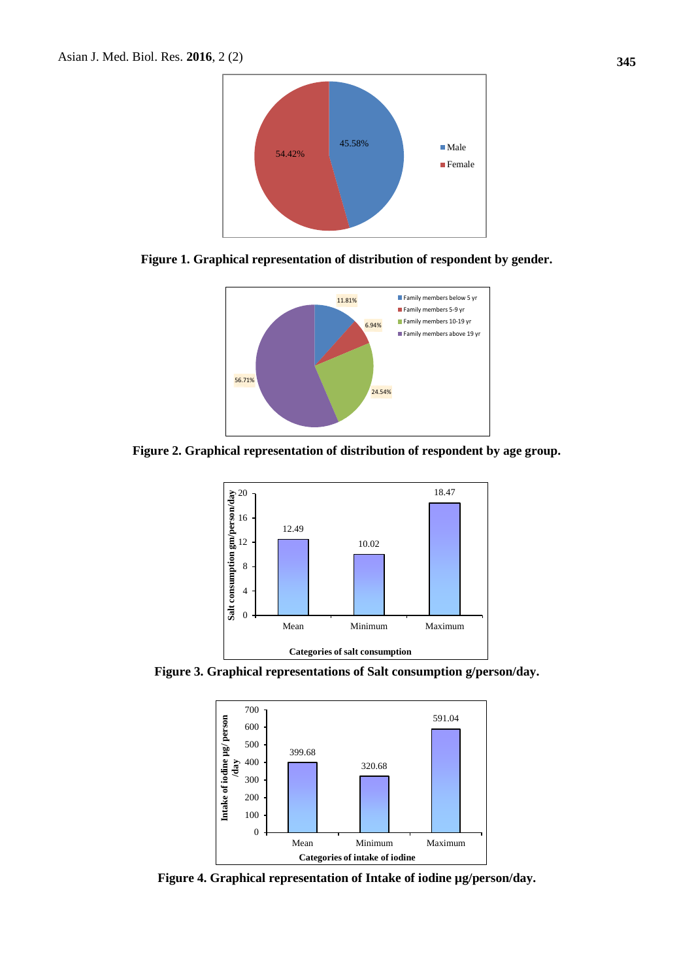

**Figure 1. Graphical representation of distribution of respondent by gender.**



**Figure 2. Graphical representation of distribution of respondent by age group.**



**Figure 3. Graphical representations of Salt consumption g/person/day.**



**Figure 4. Graphical representation of Intake of iodine µg/person/day.**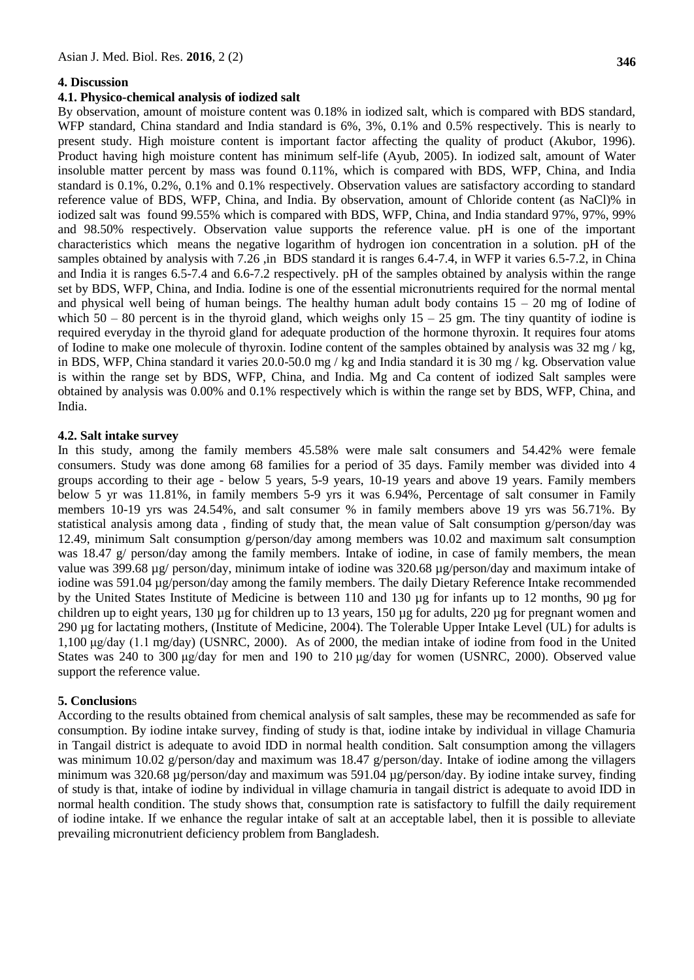#### **4. Discussion**

#### **4.1. Physico-chemical analysis of iodized salt**

By observation, amount of moisture content was 0.18% in iodized salt, which is compared with BDS standard, WFP standard, China standard and India standard is 6%, 3%, 0.1% and 0.5% respectively. This is nearly to present study. High moisture content is important factor affecting the quality of product (Akubor, 1996). Product having high moisture content has minimum self-life (Ayub, 2005). In iodized salt, amount of Water insoluble matter percent by mass was found 0.11%, which is compared with BDS, WFP, China, and India standard is 0.1%, 0.2%, 0.1% and 0.1% respectively. Observation values are satisfactory according to standard reference value of BDS, WFP, China, and India. By observation, amount of Chloride content (as NaCl)% in iodized salt was found 99.55% which is compared with BDS, WFP, China, and India standard 97%, 97%, 99% and 98.50% respectively. Observation value supports the reference value. pH is one of the important characteristics which means the negative logarithm of hydrogen ion concentration in a solution. pH of the samples obtained by analysis with 7.26, in BDS standard it is ranges 6.4-7.4, in WFP it varies 6.5-7.2, in China and India it is ranges 6.5-7.4 and 6.6-7.2 respectively. pH of the samples obtained by analysis within the range set by BDS, WFP, China, and India. Iodine is one of the essential micronutrients required for the normal mental and physical well being of human beings. The healthy human adult body contains  $15 - 20$  mg of Iodine of which  $50 - 80$  percent is in the thyroid gland, which weighs only  $15 - 25$  gm. The tiny quantity of iodine is required everyday in the thyroid gland for adequate production of the hormone thyroxin. It requires four atoms of Iodine to make one molecule of thyroxin. Iodine content of the samples obtained by analysis was  $32 \text{ mg}/\text{kg}$ , in BDS, WFP, China standard it varies 20.0-50.0 mg / kg and India standard it is 30 mg / kg. Observation value is within the range set by BDS, WFP, China, and India. Mg and Ca content of iodized Salt samples were obtained by analysis was 0.00% and 0.1% respectively which is within the range set by BDS, WFP, China, and India.

#### **4.2. Salt intake survey**

In this study, among the family members 45.58% were male salt consumers and 54.42% were female consumers. Study was done among 68 families for a period of 35 days. Family member was divided into 4 groups according to their age - below 5 years, 5-9 years, 10-19 years and above 19 years. Family members below 5 yr was 11.81%, in family members 5-9 yrs it was 6.94%, Percentage of salt consumer in Family members 10-19 yrs was 24.54%, and salt consumer % in family members above 19 yrs was 56.71%. By statistical analysis among data , finding of study that, the mean value of Salt consumption g/person/day was 12.49, minimum Salt consumption g/person/day among members was 10.02 and maximum salt consumption was 18.47 g/ person/day among the family members. Intake of iodine, in case of family members, the mean value was 399.68 µg/ person/day, minimum intake of iodine was 320.68 µg/person/day and maximum intake of iodine was 591.04 µg/person/day among the family members. The daily [Dietary Reference Intake](http://en.wikipedia.org/wiki/Dietary_Reference_Intake) recommended by the United States [Institute of Medicine](http://en.wikipedia.org/wiki/Institute_of_Medicine) is between 110 and 130 [µg](http://en.wikipedia.org/wiki/Microgram) for infants up to 12 months, 90 µg for children up to eight years, 130 µg for children up to 13 years, 150 µg for adults, 220 µg for pregnant women and 290 µg for [lactating mothers,](http://en.wikipedia.org/wiki/Lactation) [\(Institute of Medicine,](http://en.wikipedia.org/wiki/Institute_of_Medicine) 2004). The Tolerable Upper Intake Level (UL) for adults is 1,100 μg/day (1.1 mg/day) (USNRC, 2000). As of 2000, the median intake of iodine from food in the United States was 240 to 300 μg/day for men and 190 to 210 μg/day for women (USNRC, 2000). Observed value support the reference value.

#### **5. Conclusion**s

According to the results obtained from chemical analysis of salt samples, these may be recommended as safe for consumption. By iodine intake survey, finding of study is that, iodine intake by individual in village Chamuria in Tangail district is adequate to avoid IDD in normal health condition. Salt consumption among the villagers was minimum 10.02 g/person/day and maximum was 18.47 g/person/day. Intake of iodine among the villagers minimum was 320.68 µg/person/day and maximum was 591.04 µg/person/day. By iodine intake survey, finding of study is that, intake of iodine by individual in village chamuria in tangail district is adequate to avoid IDD in normal health condition. The study shows that, consumption rate is satisfactory to fulfill the daily requirement of iodine intake. If we enhance the regular intake of salt at an acceptable label, then it is possible to alleviate prevailing micronutrient deficiency problem from Bangladesh.